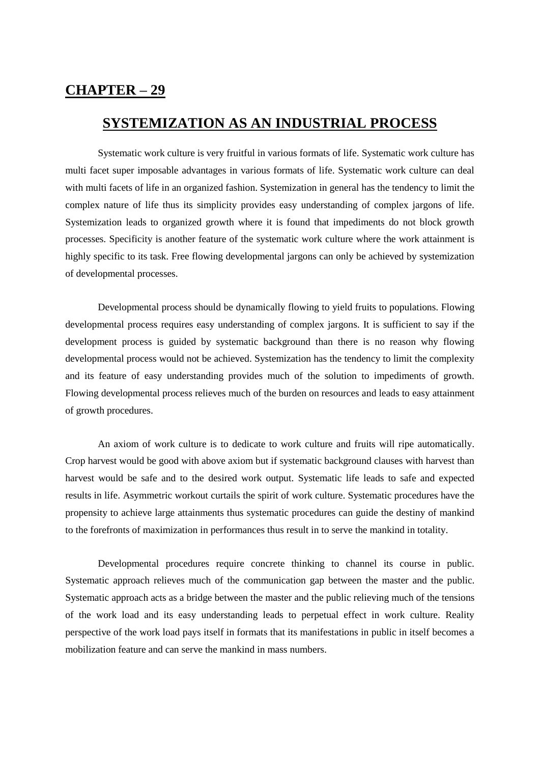## **CHAPTER – 29**

## **SYSTEMIZATION AS AN INDUSTRIAL PROCESS**

Systematic work culture is very fruitful in various formats of life. Systematic work culture has multi facet super imposable advantages in various formats of life. Systematic work culture can deal with multi facets of life in an organized fashion. Systemization in general has the tendency to limit the complex nature of life thus its simplicity provides easy understanding of complex jargons of life. Systemization leads to organized growth where it is found that impediments do not block growth processes. Specificity is another feature of the systematic work culture where the work attainment is highly specific to its task. Free flowing developmental jargons can only be achieved by systemization of developmental processes.

Developmental process should be dynamically flowing to yield fruits to populations. Flowing developmental process requires easy understanding of complex jargons. It is sufficient to say if the development process is guided by systematic background than there is no reason why flowing developmental process would not be achieved. Systemization has the tendency to limit the complexity and its feature of easy understanding provides much of the solution to impediments of growth. Flowing developmental process relieves much of the burden on resources and leads to easy attainment of growth procedures.

An axiom of work culture is to dedicate to work culture and fruits will ripe automatically. Crop harvest would be good with above axiom but if systematic background clauses with harvest than harvest would be safe and to the desired work output. Systematic life leads to safe and expected results in life. Asymmetric workout curtails the spirit of work culture. Systematic procedures have the propensity to achieve large attainments thus systematic procedures can guide the destiny of mankind to the forefronts of maximization in performances thus result in to serve the mankind in totality.

Developmental procedures require concrete thinking to channel its course in public. Systematic approach relieves much of the communication gap between the master and the public. Systematic approach acts as a bridge between the master and the public relieving much of the tensions of the work load and its easy understanding leads to perpetual effect in work culture. Reality perspective of the work load pays itself in formats that its manifestations in public in itself becomes a mobilization feature and can serve the mankind in mass numbers.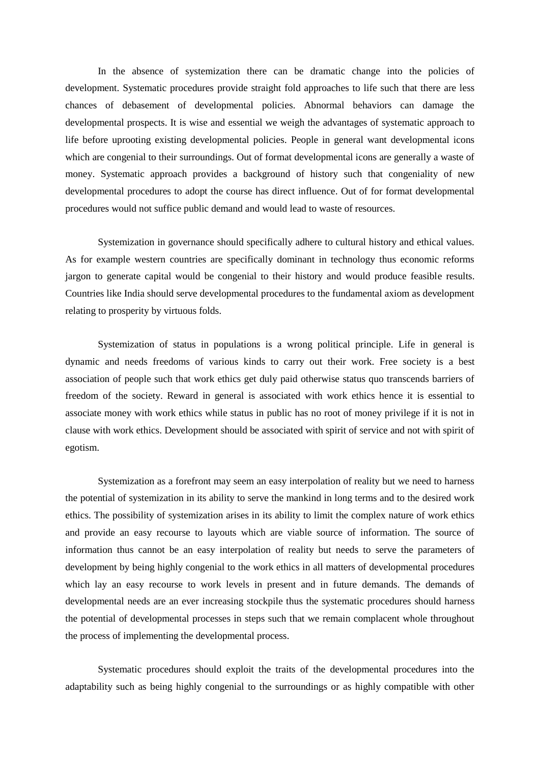In the absence of systemization there can be dramatic change into the policies of development. Systematic procedures provide straight fold approaches to life such that there are less chances of debasement of developmental policies. Abnormal behaviors can damage the developmental prospects. It is wise and essential we weigh the advantages of systematic approach to life before uprooting existing developmental policies. People in general want developmental icons which are congenial to their surroundings. Out of format developmental icons are generally a waste of money. Systematic approach provides a background of history such that congeniality of new developmental procedures to adopt the course has direct influence. Out of for format developmental procedures would not suffice public demand and would lead to waste of resources.

Systemization in governance should specifically adhere to cultural history and ethical values. As for example western countries are specifically dominant in technology thus economic reforms jargon to generate capital would be congenial to their history and would produce feasible results. Countries like India should serve developmental procedures to the fundamental axiom as development relating to prosperity by virtuous folds.

Systemization of status in populations is a wrong political principle. Life in general is dynamic and needs freedoms of various kinds to carry out their work. Free society is a best association of people such that work ethics get duly paid otherwise status quo transcends barriers of freedom of the society. Reward in general is associated with work ethics hence it is essential to associate money with work ethics while status in public has no root of money privilege if it is not in clause with work ethics. Development should be associated with spirit of service and not with spirit of egotism.

Systemization as a forefront may seem an easy interpolation of reality but we need to harness the potential of systemization in its ability to serve the mankind in long terms and to the desired work ethics. The possibility of systemization arises in its ability to limit the complex nature of work ethics and provide an easy recourse to layouts which are viable source of information. The source of information thus cannot be an easy interpolation of reality but needs to serve the parameters of development by being highly congenial to the work ethics in all matters of developmental procedures which lay an easy recourse to work levels in present and in future demands. The demands of developmental needs are an ever increasing stockpile thus the systematic procedures should harness the potential of developmental processes in steps such that we remain complacent whole throughout the process of implementing the developmental process.

Systematic procedures should exploit the traits of the developmental procedures into the adaptability such as being highly congenial to the surroundings or as highly compatible with other